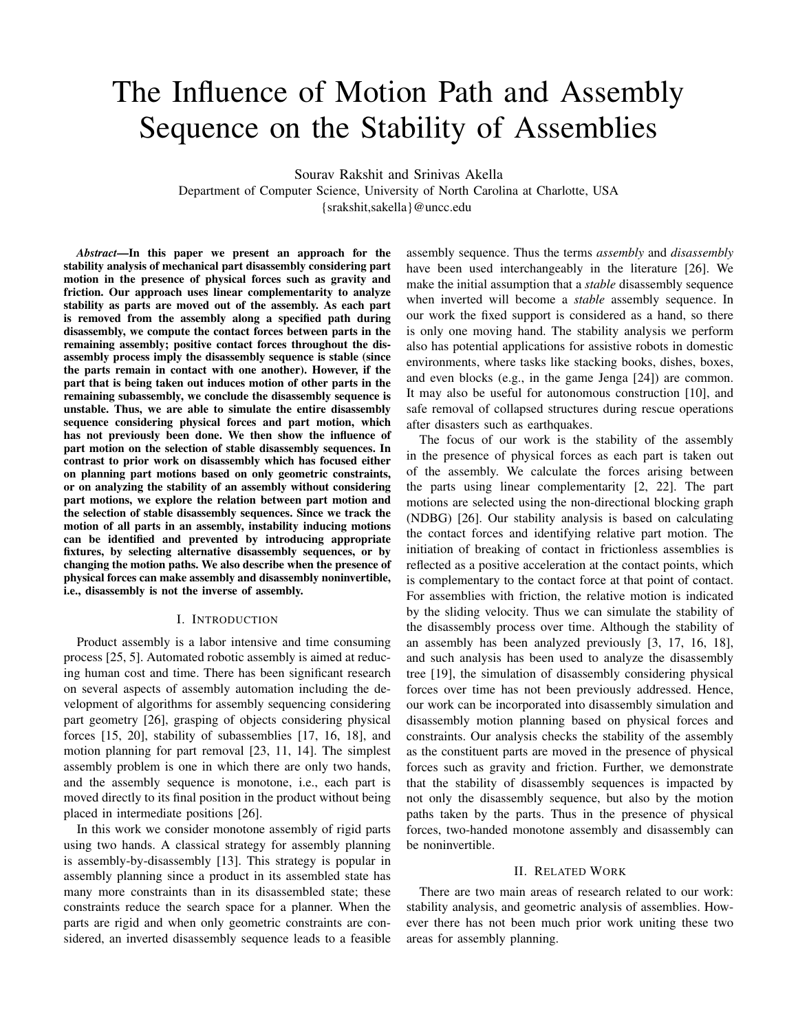# The Influence of Motion Path and Assembly Sequence on the Stability of Assemblies

Sourav Rakshit and Srinivas Akella

Department of Computer Science, University of North Carolina at Charlotte, USA {srakshit,sakella}@uncc.edu

*Abstract*—In this paper we present an approach for the stability analysis of mechanical part disassembly considering part motion in the presence of physical forces such as gravity and friction. Our approach uses linear complementarity to analyze stability as parts are moved out of the assembly. As each part is removed from the assembly along a specified path during disassembly, we compute the contact forces between parts in the remaining assembly; positive contact forces throughout the disassembly process imply the disassembly sequence is stable (since the parts remain in contact with one another). However, if the part that is being taken out induces motion of other parts in the remaining subassembly, we conclude the disassembly sequence is unstable. Thus, we are able to simulate the entire disassembly sequence considering physical forces and part motion, which has not previously been done. We then show the influence of part motion on the selection of stable disassembly sequences. In contrast to prior work on disassembly which has focused either on planning part motions based on only geometric constraints, or on analyzing the stability of an assembly without considering part motions, we explore the relation between part motion and the selection of stable disassembly sequences. Since we track the motion of all parts in an assembly, instability inducing motions can be identified and prevented by introducing appropriate fixtures, by selecting alternative disassembly sequences, or by changing the motion paths. We also describe when the presence of physical forces can make assembly and disassembly noninvertible, i.e., disassembly is not the inverse of assembly.

# I. INTRODUCTION

Product assembly is a labor intensive and time consuming process [25, 5]. Automated robotic assembly is aimed at reducing human cost and time. There has been significant research on several aspects of assembly automation including the development of algorithms for assembly sequencing considering part geometry [26], grasping of objects considering physical forces [15, 20], stability of subassemblies [17, 16, 18], and motion planning for part removal [23, 11, 14]. The simplest assembly problem is one in which there are only two hands, and the assembly sequence is monotone, i.e., each part is moved directly to its final position in the product without being placed in intermediate positions [26].

In this work we consider monotone assembly of rigid parts using two hands. A classical strategy for assembly planning is assembly-by-disassembly [13]. This strategy is popular in assembly planning since a product in its assembled state has many more constraints than in its disassembled state; these constraints reduce the search space for a planner. When the parts are rigid and when only geometric constraints are considered, an inverted disassembly sequence leads to a feasible assembly sequence. Thus the terms *assembly* and *disassembly* have been used interchangeably in the literature [26]. We make the initial assumption that a *stable* disassembly sequence when inverted will become a *stable* assembly sequence. In our work the fixed support is considered as a hand, so there is only one moving hand. The stability analysis we perform also has potential applications for assistive robots in domestic environments, where tasks like stacking books, dishes, boxes, and even blocks (e.g., in the game Jenga [24]) are common. It may also be useful for autonomous construction [10], and safe removal of collapsed structures during rescue operations after disasters such as earthquakes.

The focus of our work is the stability of the assembly in the presence of physical forces as each part is taken out of the assembly. We calculate the forces arising between the parts using linear complementarity [2, 22]. The part motions are selected using the non-directional blocking graph (NDBG) [26]. Our stability analysis is based on calculating the contact forces and identifying relative part motion. The initiation of breaking of contact in frictionless assemblies is reflected as a positive acceleration at the contact points, which is complementary to the contact force at that point of contact. For assemblies with friction, the relative motion is indicated by the sliding velocity. Thus we can simulate the stability of the disassembly process over time. Although the stability of an assembly has been analyzed previously [3, 17, 16, 18], and such analysis has been used to analyze the disassembly tree [19], the simulation of disassembly considering physical forces over time has not been previously addressed. Hence, our work can be incorporated into disassembly simulation and disassembly motion planning based on physical forces and constraints. Our analysis checks the stability of the assembly as the constituent parts are moved in the presence of physical forces such as gravity and friction. Further, we demonstrate that the stability of disassembly sequences is impacted by not only the disassembly sequence, but also by the motion paths taken by the parts. Thus in the presence of physical forces, two-handed monotone assembly and disassembly can be noninvertible.

## II. RELATED WORK

There are two main areas of research related to our work: stability analysis, and geometric analysis of assemblies. However there has not been much prior work uniting these two areas for assembly planning.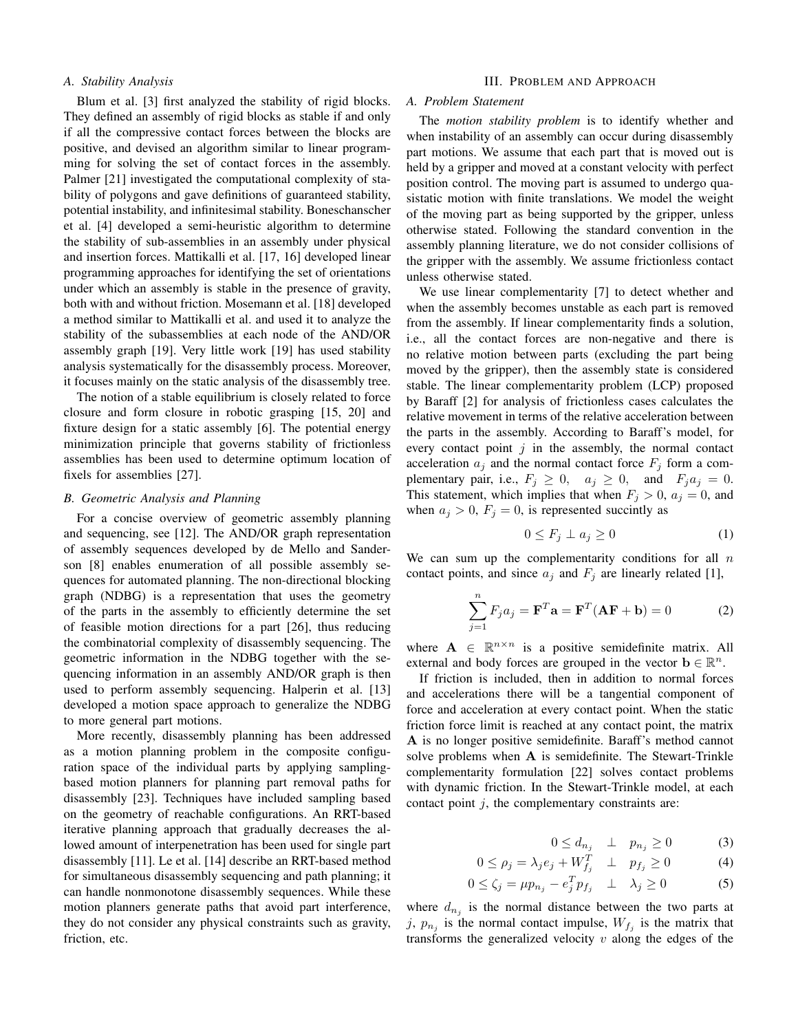# *A. Stability Analysis*

Blum et al. [3] first analyzed the stability of rigid blocks. They defined an assembly of rigid blocks as stable if and only if all the compressive contact forces between the blocks are positive, and devised an algorithm similar to linear programming for solving the set of contact forces in the assembly. Palmer [21] investigated the computational complexity of stability of polygons and gave definitions of guaranteed stability, potential instability, and infinitesimal stability. Boneschanscher et al. [4] developed a semi-heuristic algorithm to determine the stability of sub-assemblies in an assembly under physical and insertion forces. Mattikalli et al. [17, 16] developed linear programming approaches for identifying the set of orientations under which an assembly is stable in the presence of gravity, both with and without friction. Mosemann et al. [18] developed a method similar to Mattikalli et al. and used it to analyze the stability of the subassemblies at each node of the AND/OR assembly graph [19]. Very little work [19] has used stability analysis systematically for the disassembly process. Moreover, it focuses mainly on the static analysis of the disassembly tree.

The notion of a stable equilibrium is closely related to force closure and form closure in robotic grasping [15, 20] and fixture design for a static assembly [6]. The potential energy minimization principle that governs stability of frictionless assemblies has been used to determine optimum location of fixels for assemblies [27].

# *B. Geometric Analysis and Planning*

For a concise overview of geometric assembly planning and sequencing, see [12]. The AND/OR graph representation of assembly sequences developed by de Mello and Sanderson [8] enables enumeration of all possible assembly sequences for automated planning. The non-directional blocking graph (NDBG) is a representation that uses the geometry of the parts in the assembly to efficiently determine the set of feasible motion directions for a part [26], thus reducing the combinatorial complexity of disassembly sequencing. The geometric information in the NDBG together with the sequencing information in an assembly AND/OR graph is then used to perform assembly sequencing. Halperin et al. [13] developed a motion space approach to generalize the NDBG to more general part motions.

More recently, disassembly planning has been addressed as a motion planning problem in the composite configuration space of the individual parts by applying samplingbased motion planners for planning part removal paths for disassembly [23]. Techniques have included sampling based on the geometry of reachable configurations. An RRT-based iterative planning approach that gradually decreases the allowed amount of interpenetration has been used for single part disassembly [11]. Le et al. [14] describe an RRT-based method for simultaneous disassembly sequencing and path planning; it can handle nonmonotone disassembly sequences. While these motion planners generate paths that avoid part interference, they do not consider any physical constraints such as gravity, friction, etc.

## III. PROBLEM AND APPROACH

#### *A. Problem Statement*

The *motion stability problem* is to identify whether and when instability of an assembly can occur during disassembly part motions. We assume that each part that is moved out is held by a gripper and moved at a constant velocity with perfect position control. The moving part is assumed to undergo quasistatic motion with finite translations. We model the weight of the moving part as being supported by the gripper, unless otherwise stated. Following the standard convention in the assembly planning literature, we do not consider collisions of the gripper with the assembly. We assume frictionless contact unless otherwise stated.

We use linear complementarity [7] to detect whether and when the assembly becomes unstable as each part is removed from the assembly. If linear complementarity finds a solution, i.e., all the contact forces are non-negative and there is no relative motion between parts (excluding the part being moved by the gripper), then the assembly state is considered stable. The linear complementarity problem (LCP) proposed by Baraff [2] for analysis of frictionless cases calculates the relative movement in terms of the relative acceleration between the parts in the assembly. According to Baraff's model, for every contact point  $j$  in the assembly, the normal contact acceleration  $a_j$  and the normal contact force  $F_j$  form a complementary pair, i.e.,  $F_j \geq 0$ ,  $a_j \geq 0$ , and  $F_j a_j = 0$ . This statement, which implies that when  $F_i > 0$ ,  $a_i = 0$ , and when  $a_j > 0$ ,  $F_j = 0$ , is represented succintly as

$$
0 \le F_j \perp a_j \ge 0 \tag{1}
$$

We can sum up the complementarity conditions for all  $n$ contact points, and since  $a_j$  and  $F_j$  are linearly related [1],

$$
\sum_{j=1}^{n} F_j a_j = \mathbf{F}^T \mathbf{a} = \mathbf{F}^T (\mathbf{A} \mathbf{F} + \mathbf{b}) = 0
$$
 (2)

where  $A \in \mathbb{R}^{n \times n}$  is a positive semidefinite matrix. All external and body forces are grouped in the vector  $\mathbf{b} \in \mathbb{R}^n$ .

If friction is included, then in addition to normal forces and accelerations there will be a tangential component of force and acceleration at every contact point. When the static friction force limit is reached at any contact point, the matrix A is no longer positive semidefinite. Baraff's method cannot solve problems when A is semidefinite. The Stewart-Trinkle complementarity formulation [22] solves contact problems with dynamic friction. In the Stewart-Trinkle model, at each contact point  $j$ , the complementary constraints are:

$$
0 \le d_{n_j} \quad \perp \quad p_{n_j} \ge 0 \tag{3}
$$

$$
0 \le \rho_j = \lambda_j e_j + W_{f_j}^T \quad \perp \quad p_{f_j} \ge 0 \tag{4}
$$

$$
0 \le \zeta_j = \mu p_{n_j} - e_j^T p_{f_j} \quad \perp \quad \lambda_j \ge 0 \tag{5}
$$

where  $d_{n_j}$  is the normal distance between the two parts at j,  $p_{n_j}$  is the normal contact impulse,  $W_{f_j}$  is the matrix that transforms the generalized velocity  $v$  along the edges of the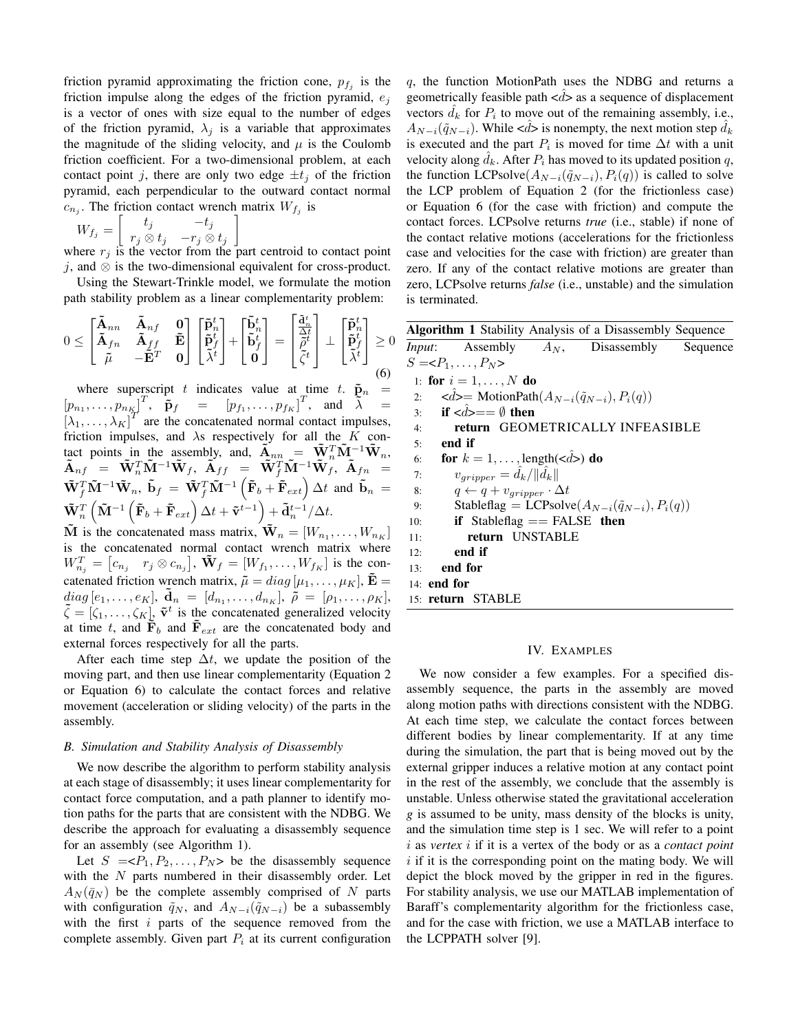friction pyramid approximating the friction cone,  $p_{f_j}$  is the friction impulse along the edges of the friction pyramid,  $e_j$ is a vector of ones with size equal to the number of edges of the friction pyramid,  $\lambda_j$  is a variable that approximates the magnitude of the sliding velocity, and  $\mu$  is the Coulomb friction coefficient. For a two-dimensional problem, at each contact point j, there are only two edge  $\pm t_i$  of the friction pyramid, each perpendicular to the outward contact normal  $c_{n_j}$ . The friction contact wrench matrix  $W_{f_j}$  is

$$
W_{f_j}=\left[\begin{array}{cc}t_j & -t_j\\r_j\otimes t_j & -r_j\otimes t_j\end{array}\right]
$$

where  $r_j$  is the vector from the part centroid to contact point j, and  $\otimes$  is the two-dimensional equivalent for cross-product. Using the Stewart-Trinkle model, we formulate the motion

path stability problem as a linear complementarity problem:

$$
0 \leq \begin{bmatrix} \tilde{\mathbf{A}}_{nn} & \tilde{\mathbf{A}}_{nf} & \mathbf{0} \\ \tilde{\mathbf{A}}_{fn} & \tilde{\mathbf{A}}_{ff} & \tilde{\mathbf{E}} \\ \tilde{\mu} & -\tilde{\mathbf{E}}^T & \mathbf{0} \end{bmatrix} \begin{bmatrix} \tilde{\mathbf{p}}_n^t \\ \tilde{\mathbf{p}}_f^t \\ \tilde{\lambda}^t \end{bmatrix} + \begin{bmatrix} \tilde{\mathbf{b}}_n^t \\ \tilde{\mathbf{b}}_f^t \\ \mathbf{0} \end{bmatrix} = \begin{bmatrix} \frac{\tilde{\mathbf{a}}_n^t}{\tilde{\mathbf{a}}_n^t} \\ \tilde{\rho}^t \\ \tilde{\zeta}^t \end{bmatrix} \perp \begin{bmatrix} \tilde{\mathbf{p}}_n^t \\ \tilde{\mathbf{p}}_f^t \\ \tilde{\lambda}^t \end{bmatrix} \geq 0
$$
\n(6)

where superscript t indicates value at time t.  $\tilde{\mathbf{p}}_n$  =  $[p_{n_1}, \ldots, p_{n_K}]^T$ ,  $\tilde{\mathbf{p}}_f$  =  $[p_{f_1}, \ldots, p_{f_K}]^T$ , and  $\tilde{\lambda}$  =  $\left[\lambda_1,\ldots,\lambda_K\right]^T$  are the concatenated normal contact impulses, friction impulses, and  $\lambda$ s respectively for all the K contact points in the assembly, and,  $\tilde{A}_{nn} = \tilde{W}_n^T \tilde{M}^{-1} \tilde{W}_n$ ,  $\tilde{\textbf{A}}_{nf}^{\, \, \cdot} \, = \, \, \tilde{\textbf{W}}_n^T \tilde{\textbf{M}}^{-1} \tilde{\textbf{W}}_f, \, \, \tilde{\textbf{A}}_{ff} \, \, = \, \, \tilde{\textbf{W}}_f^T \tilde{\textbf{M}}^{-1} \tilde{\textbf{W}}_f^{\, \cdot}, \, \, \tilde{\textbf{A}}_{fn} \, \, = \,$  $\tilde{\mathbf{W}}_f^T \tilde{\mathbf{M}}^{-1} \tilde{\mathbf{W}}_n$ ,  $\tilde{\mathbf{b}}_f \, = \, \tilde{\mathbf{W}}_f^T \tilde{\mathbf{M}}^{-1} \left( \tilde{\mathbf{F}}_b + \tilde{\mathbf{F}}_{ext} \right) \Delta t$  and  $\tilde{\mathbf{b}}_n \, = \,$  $\tilde{\mathbf{W}}_n^T\left( \tilde{\mathbf{M}}^{-1}\left( \tilde{\mathbf{F}}_b + \tilde{\mathbf{F}}_{ext} \right) \Delta t + \tilde{\mathbf{v}}^{t-1} \right) + \tilde{\mathbf{d}}_n^{t-1}/\Delta t.$ 

 $\tilde{M}$  is the concatenated mass matrix,  $\tilde{W}_n = [W_{n_1}, \dots, W_{n_K}]$ is the concatenated normal contact wrench matrix where  $W_{n_j}^T = [c_{n_j} \quad r_j \otimes c_{n_j}], \tilde{\mathbf{W}}_f = [W_{f_1}, \dots, W_{f_K}]$  is the concatenated friction wrench matrix,  $\tilde{\mu} = diag[\mu_1, \dots, \mu_K], \tilde{\mathbf{E}} =$  $diag\,[e_1, \ldots, e_K],\; \mathbf{\tilde{d}}_n\ =\ [d_{n_1}, \ldots, d_{n_K}],\; \tilde{\bar{\rho}}\ =\ [\rho_1, \ldots, \rho_K],$  $\tilde{\zeta} = [\zeta_1, \ldots, \zeta_K], \tilde{\mathbf{v}}^t$  is the concatenated generalized velocity at time t, and  $\tilde{F}_b$  and  $\tilde{F}_{ext}$  are the concatenated body and external forces respectively for all the parts.

After each time step  $\Delta t$ , we update the position of the moving part, and then use linear complementarity (Equation 2 or Equation 6) to calculate the contact forces and relative movement (acceleration or sliding velocity) of the parts in the assembly.

#### *B. Simulation and Stability Analysis of Disassembly*

We now describe the algorithm to perform stability analysis at each stage of disassembly; it uses linear complementarity for contact force computation, and a path planner to identify motion paths for the parts that are consistent with the NDBG. We describe the approach for evaluating a disassembly sequence for an assembly (see Algorithm 1).

Let  $S = P_1, P_2, \ldots, P_N$  be the disassembly sequence with the  $N$  parts numbered in their disassembly order. Let  $A_N(\bar{q}_N)$  be the complete assembly comprised of N parts with configuration  $\tilde{q}_N$ , and  $A_{N-i}(\tilde{q}_{N-i})$  be a subassembly with the first  $i$  parts of the sequence removed from the complete assembly. Given part  $P_i$  at its current configuration q, the function MotionPath uses the NDBG and returns a geometrically feasible path  $\langle d \rangle$  as a sequence of displacement vectors  $\hat{d}_k$  for  $P_i$  to move out of the remaining assembly, i.e.,  $A_{N-i}(\tilde{q}_{N-i})$ . While < $d$ > is nonempty, the next motion step  $d_k$ is executed and the part  $P_i$  is moved for time  $\Delta t$  with a unit velocity along  $d_k$ . After  $P_i$  has moved to its updated position  $q$ , the function LCPsolve( $A_{N-i}(\tilde{q}_{N-i}), P_i(q)$ ) is called to solve the LCP problem of Equation 2 (for the frictionless case) or Equation 6 (for the case with friction) and compute the contact forces. LCPsolve returns *true* (i.e., stable) if none of the contact relative motions (accelerations for the frictionless case and velocities for the case with friction) are greater than zero. If any of the contact relative motions are greater than zero, LCPsolve returns *false* (i.e., unstable) and the simulation is terminated.

| Algorithm 1 Stability Analysis of a Disassembly Sequence                           |                                                              |  |                                                      |  |  |
|------------------------------------------------------------------------------------|--------------------------------------------------------------|--|------------------------------------------------------|--|--|
|                                                                                    |                                                              |  | <i>Input</i> : Assembly $A_N$ , Disassembly Sequence |  |  |
|                                                                                    | $S = $                                                       |  |                                                      |  |  |
|                                                                                    | 1: for $i = 1, , N$ do                                       |  |                                                      |  |  |
| 2: $\langle \hat{d} \rangle = \text{MotionPath}(A_{N-i}(\tilde{q}_{N-i}), P_i(q))$ |                                                              |  |                                                      |  |  |
|                                                                                    | 3 if $d>=\emptyset$ then                                     |  |                                                      |  |  |
| 4:                                                                                 | return GEOMETRICALLY INFEASIBLE                              |  |                                                      |  |  |
| 5:                                                                                 | end if                                                       |  |                                                      |  |  |
| 6:                                                                                 | for $k = 1, \ldots$ , length( $\langle \hat{d} \rangle$ ) do |  |                                                      |  |  |
| 7:                                                                                 | $v_{gripper} = d_k /   \hat{d}_k  $                          |  |                                                      |  |  |
| 8:                                                                                 | $q \leftarrow q + v_{gripper} \cdot \Delta t$                |  |                                                      |  |  |
| 9:                                                                                 | Stableflag = LCPsolve $(A_{N-i}(\tilde{q}_{N-i}), P_i(q))$   |  |                                                      |  |  |
| 10:                                                                                | if Stable flag $==$ FALSE then                               |  |                                                      |  |  |
| 11:                                                                                | return UNSTABLE                                              |  |                                                      |  |  |
| 12:                                                                                | end if                                                       |  |                                                      |  |  |
| 13 <sup>0</sup>                                                                    | end for                                                      |  |                                                      |  |  |
| $14:$ end for                                                                      |                                                              |  |                                                      |  |  |
|                                                                                    | 15: return STABLE                                            |  |                                                      |  |  |
|                                                                                    |                                                              |  |                                                      |  |  |

# IV. EXAMPLES

We now consider a few examples. For a specified disassembly sequence, the parts in the assembly are moved along motion paths with directions consistent with the NDBG. At each time step, we calculate the contact forces between different bodies by linear complementarity. If at any time during the simulation, the part that is being moved out by the external gripper induces a relative motion at any contact point in the rest of the assembly, we conclude that the assembly is unstable. Unless otherwise stated the gravitational acceleration *g* is assumed to be unity, mass density of the blocks is unity, and the simulation time step is 1 sec. We will refer to a point i as *vertex* i if it is a vertex of the body or as a *contact point*  $i$  if it is the corresponding point on the mating body. We will depict the block moved by the gripper in red in the figures. For stability analysis, we use our MATLAB implementation of Baraff's complementarity algorithm for the frictionless case, and for the case with friction, we use a MATLAB interface to the LCPPATH solver [9].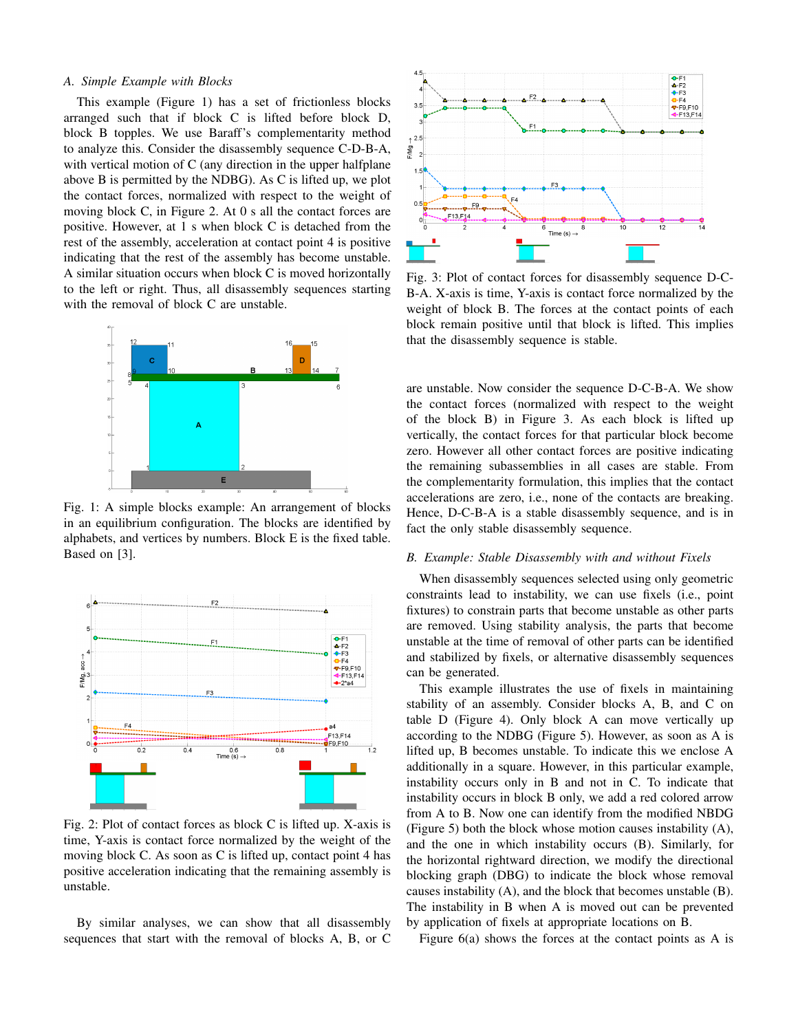## *A. Simple Example with Blocks*

This example (Figure 1) has a set of frictionless blocks arranged such that if block C is lifted before block D, block B topples. We use Baraff's complementarity method to analyze this. Consider the disassembly sequence C-D-B-A, with vertical motion of C (any direction in the upper halfplane above B is permitted by the NDBG). As C is lifted up, we plot the contact forces, normalized with respect to the weight of moving block C, in Figure 2. At 0 s all the contact forces are positive. However, at 1 s when block C is detached from the rest of the assembly, acceleration at contact point 4 is positive indicating that the rest of the assembly has become unstable. A similar situation occurs when block C is moved horizontally to the left or right. Thus, all disassembly sequences starting with the removal of block C are unstable.



Fig. 1: A simple blocks example: An arrangement of blocks in an equilibrium configuration. The blocks are identified by alphabets, and vertices by numbers. Block E is the fixed table. Based on [3].



Fig. 2: Plot of contact forces as block C is lifted up. X-axis is time, Y-axis is contact force normalized by the weight of the moving block C. As soon as C is lifted up, contact point 4 has positive acceleration indicating that the remaining assembly is unstable.

By similar analyses, we can show that all disassembly sequences that start with the removal of blocks A, B, or C



Fig. 3: Plot of contact forces for disassembly sequence D-C-B-A. X-axis is time, Y-axis is contact force normalized by the weight of block B. The forces at the contact points of each block remain positive until that block is lifted. This implies that the disassembly sequence is stable.

are unstable. Now consider the sequence D-C-B-A. We show the contact forces (normalized with respect to the weight of the block B) in Figure 3. As each block is lifted up vertically, the contact forces for that particular block become zero. However all other contact forces are positive indicating the remaining subassemblies in all cases are stable. From the complementarity formulation, this implies that the contact accelerations are zero, i.e., none of the contacts are breaking. Hence, D-C-B-A is a stable disassembly sequence, and is in fact the only stable disassembly sequence.

# *B. Example: Stable Disassembly with and without Fixels*

When disassembly sequences selected using only geometric constraints lead to instability, we can use fixels (i.e., point fixtures) to constrain parts that become unstable as other parts are removed. Using stability analysis, the parts that become unstable at the time of removal of other parts can be identified and stabilized by fixels, or alternative disassembly sequences can be generated.

This example illustrates the use of fixels in maintaining stability of an assembly. Consider blocks A, B, and C on table D (Figure 4). Only block A can move vertically up according to the NDBG (Figure 5). However, as soon as A is lifted up, B becomes unstable. To indicate this we enclose A additionally in a square. However, in this particular example, instability occurs only in B and not in C. To indicate that instability occurs in block B only, we add a red colored arrow from A to B. Now one can identify from the modified NBDG (Figure 5) both the block whose motion causes instability (A), and the one in which instability occurs (B). Similarly, for the horizontal rightward direction, we modify the directional blocking graph (DBG) to indicate the block whose removal causes instability (A), and the block that becomes unstable (B). The instability in B when A is moved out can be prevented by application of fixels at appropriate locations on B.

Figure  $6(a)$  shows the forces at the contact points as A is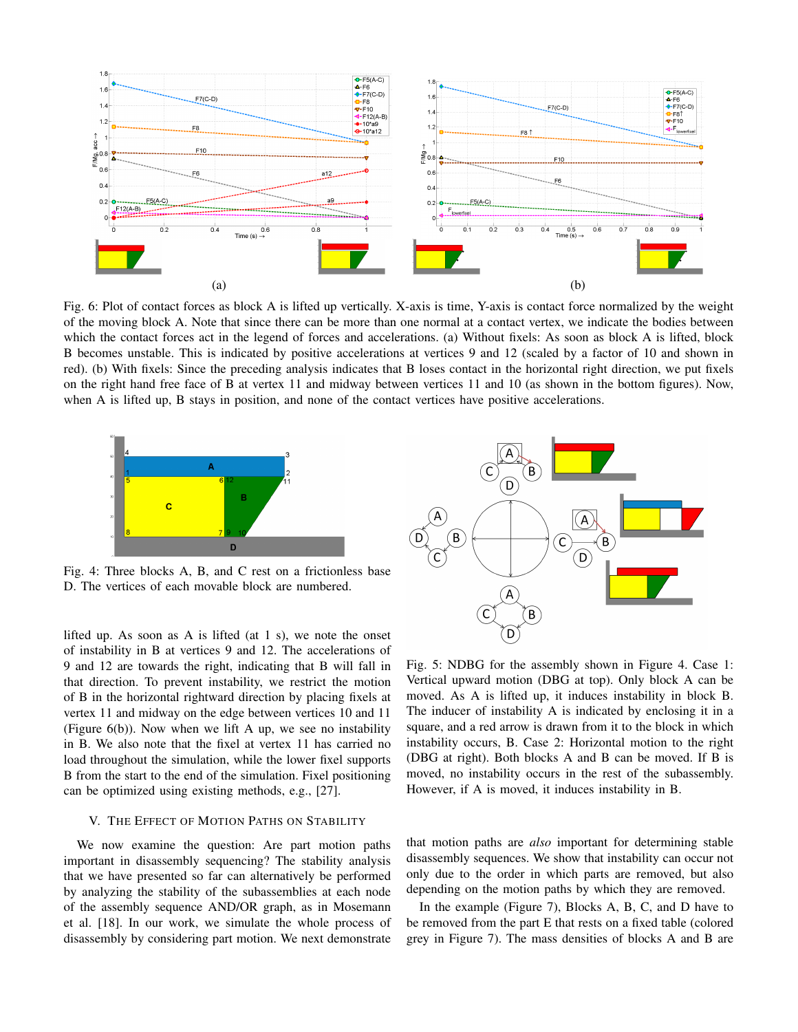

Fig. 6: Plot of contact forces as block A is lifted up vertically. X-axis is time, Y-axis is contact force normalized by the weight of the moving block A. Note that since there can be more than one normal at a contact vertex, we indicate the bodies between which the contact forces act in the legend of forces and accelerations. (a) Without fixels: As soon as block A is lifted, block B becomes unstable. This is indicated by positive accelerations at vertices 9 and 12 (scaled by a factor of 10 and shown in red). (b) With fixels: Since the preceding analysis indicates that B loses contact in the horizontal right direction, we put fixels on the right hand free face of B at vertex 11 and midway between vertices 11 and 10 (as shown in the bottom figures). Now, when A is lifted up, B stays in position, and none of the contact vertices have positive accelerations.



Fig. 4: Three blocks A, B, and C rest on a frictionless base D. The vertices of each movable block are numbered.

lifted up. As soon as A is lifted (at 1 s), we note the onset of instability in B at vertices 9 and 12. The accelerations of 9 and 12 are towards the right, indicating that B will fall in that direction. To prevent instability, we restrict the motion of B in the horizontal rightward direction by placing fixels at vertex 11 and midway on the edge between vertices 10 and 11 (Figure  $6(b)$ ). Now when we lift A up, we see no instability in B. We also note that the fixel at vertex 11 has carried no load throughout the simulation, while the lower fixel supports B from the start to the end of the simulation. Fixel positioning can be optimized using existing methods, e.g., [27].

## V. THE EFFECT OF MOTION PATHS ON STABILITY

We now examine the question: Are part motion paths important in disassembly sequencing? The stability analysis that we have presented so far can alternatively be performed by analyzing the stability of the subassemblies at each node of the assembly sequence AND/OR graph, as in Mosemann et al. [18]. In our work, we simulate the whole process of disassembly by considering part motion. We next demonstrate



Fig. 5: NDBG for the assembly shown in Figure 4. Case 1: Vertical upward motion (DBG at top). Only block A can be moved. As A is lifted up, it induces instability in block B. The inducer of instability A is indicated by enclosing it in a square, and a red arrow is drawn from it to the block in which instability occurs, B. Case 2: Horizontal motion to the right (DBG at right). Both blocks A and B can be moved. If B is moved, no instability occurs in the rest of the subassembly. However, if A is moved, it induces instability in B.

that motion paths are *also* important for determining stable disassembly sequences. We show that instability can occur not only due to the order in which parts are removed, but also depending on the motion paths by which they are removed.

In the example (Figure 7), Blocks A, B, C, and D have to be removed from the part E that rests on a fixed table (colored grey in Figure 7). The mass densities of blocks A and B are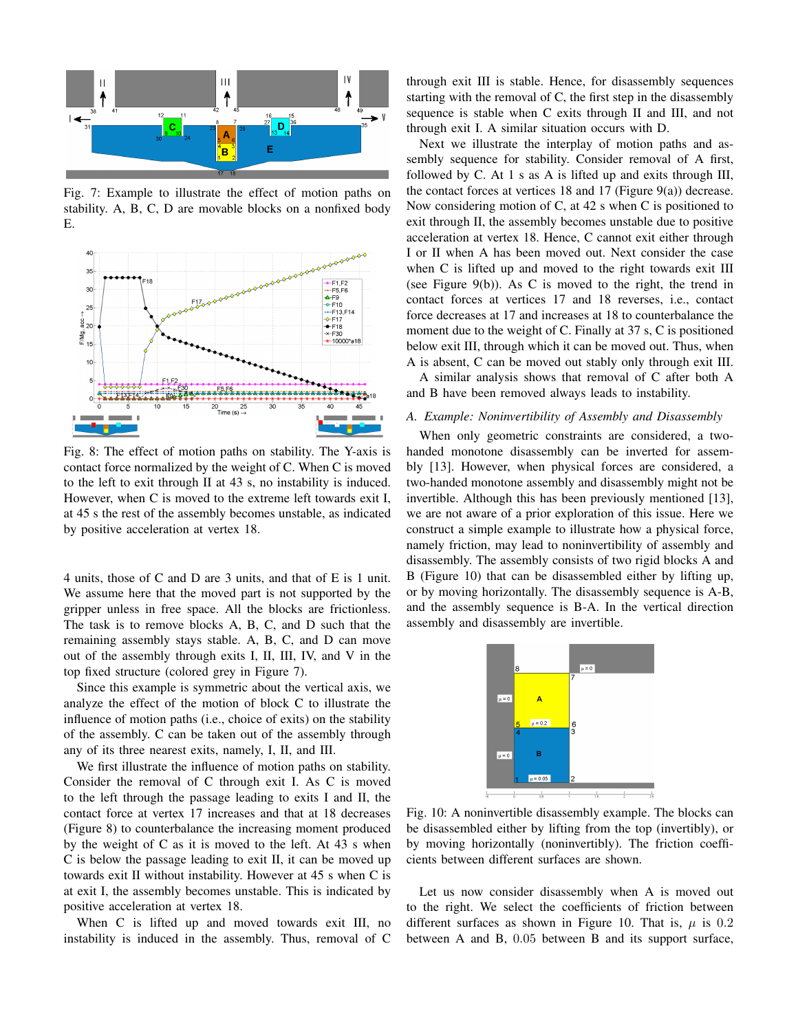

Fig. 7: Example to illustrate the effect of motion paths on stability. A, B, C, D are movable blocks on a nonfixed body E.



Fig. 8: The effect of motion paths on stability. The Y-axis is contact force normalized by the weight of C. When C is moved to the left to exit through II at 43 s, no instability is induced. However, when C is moved to the extreme left towards exit I, at 45 s the rest of the assembly becomes unstable, as indicated by positive acceleration at vertex 18.

4 units, those of C and D are 3 units, and that of E is 1 unit. We assume here that the moved part is not supported by the gripper unless in free space. All the blocks are frictionless. The task is to remove blocks A, B, C, and D such that the remaining assembly stays stable. A, B, C, and D can move out of the assembly through exits I, II, III, IV, and V in the top fixed structure (colored grey in Figure 7).

Since this example is symmetric about the vertical axis, we analyze the effect of the motion of block C to illustrate the influence of motion paths (i.e., choice of exits) on the stability of the assembly. C can be taken out of the assembly through any of its three nearest exits, namely, I, II, and III.

We first illustrate the influence of motion paths on stability. Consider the removal of C through exit I. As C is moved to the left through the passage leading to exits I and II, the contact force at vertex 17 increases and that at 18 decreases (Figure 8) to counterbalance the increasing moment produced by the weight of C as it is moved to the left. At 43 s when C is below the passage leading to exit II, it can be moved up towards exit II without instability. However at 45 s when C is at exit I, the assembly becomes unstable. This is indicated by positive acceleration at vertex 18.

When C is lifted up and moved towards exit III, no instability is induced in the assembly. Thus, removal of C

through exit III is stable. Hence, for disassembly sequences starting with the removal of C, the first step in the disassembly sequence is stable when C exits through II and III, and not through exit I. A similar situation occurs with D.

Next we illustrate the interplay of motion paths and assembly sequence for stability. Consider removal of A first, followed by C. At 1 s as A is lifted up and exits through III, the contact forces at vertices 18 and 17 (Figure 9(a)) decrease. Now considering motion of C, at 42 s when C is positioned to exit through II, the assembly becomes unstable due to positive acceleration at vertex 18. Hence, C cannot exit either through I or II when A has been moved out. Next consider the case when C is lifted up and moved to the right towards exit III (see Figure 9(b)). As C is moved to the right, the trend in contact forces at vertices 17 and 18 reverses, i.e., contact force decreases at 17 and increases at 18 to counterbalance the moment due to the weight of C. Finally at 37 s, C is positioned below exit III, through which it can be moved out. Thus, when A is absent, C can be moved out stably only through exit III.

A similar analysis shows that removal of C after both A and B have been removed always leads to instability.

# *A. Example: Noninvertibility of Assembly and Disassembly*

When only geometric constraints are considered, a twohanded monotone disassembly can be inverted for assembly [13]. However, when physical forces are considered, a two-handed monotone assembly and disassembly might not be invertible. Although this has been previously mentioned [13], we are not aware of a prior exploration of this issue. Here we construct a simple example to illustrate how a physical force, namely friction, may lead to noninvertibility of assembly and disassembly. The assembly consists of two rigid blocks A and B (Figure 10) that can be disassembled either by lifting up, or by moving horizontally. The disassembly sequence is A-B, and the assembly sequence is B-A. In the vertical direction assembly and disassembly are invertible.



Fig. 10: A noninvertible disassembly example. The blocks can be disassembled either by lifting from the top (invertibly), or by moving horizontally (noninvertibly). The friction coefficients between different surfaces are shown.

Let us now consider disassembly when A is moved out to the right. We select the coefficients of friction between different surfaces as shown in Figure 10. That is,  $\mu$  is 0.2 between A and B, 0.05 between B and its support surface,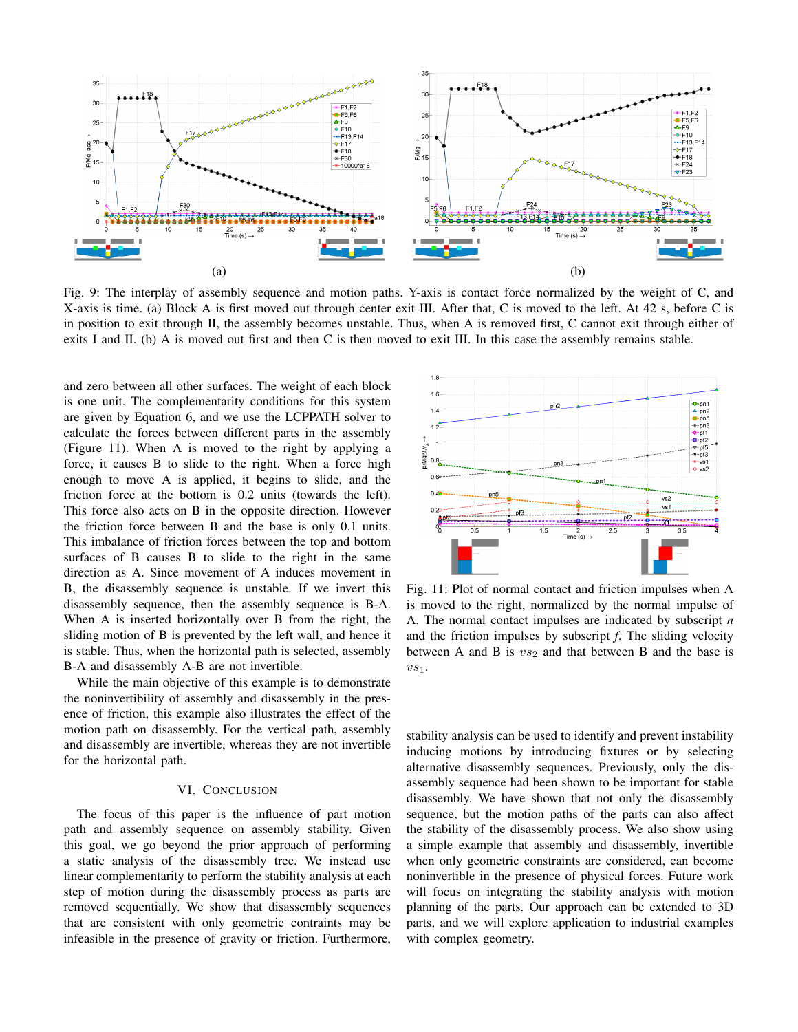

Fig. 9: The interplay of assembly sequence and motion paths. Y-axis is contact force normalized by the weight of C, and X-axis is time. (a) Block A is first moved out through center exit III. After that, C is moved to the left. At 42 s, before C is in position to exit through II, the assembly becomes unstable. Thus, when A is removed first, C cannot exit through either of exits I and II. (b) A is moved out first and then C is then moved to exit III. In this case the assembly remains stable.

and zero between all other surfaces. The weight of each block is one unit. The complementarity conditions for this system are given by Equation 6, and we use the LCPPATH solver to calculate the forces between different parts in the assembly (Figure 11). When A is moved to the right by applying a force, it causes B to slide to the right. When a force high enough to move A is applied, it begins to slide, and the friction force at the bottom is 0.2 units (towards the left). This force also acts on B in the opposite direction. However the friction force between B and the base is only 0.1 units. This imbalance of friction forces between the top and bottom surfaces of B causes B to slide to the right in the same direction as A. Since movement of A induces movement in B, the disassembly sequence is unstable. If we invert this disassembly sequence, then the assembly sequence is B-A. When A is inserted horizontally over B from the right, the sliding motion of B is prevented by the left wall, and hence it is stable. Thus, when the horizontal path is selected, assembly B-A and disassembly A-B are not invertible.

While the main objective of this example is to demonstrate the noninvertibility of assembly and disassembly in the presence of friction, this example also illustrates the effect of the motion path on disassembly. For the vertical path, assembly and disassembly are invertible, whereas they are not invertible for the horizontal path.

#### VI. CONCLUSION

The focus of this paper is the influence of part motion path and assembly sequence on assembly stability. Given this goal, we go beyond the prior approach of performing a static analysis of the disassembly tree. We instead use linear complementarity to perform the stability analysis at each step of motion during the disassembly process as parts are removed sequentially. We show that disassembly sequences that are consistent with only geometric contraints may be infeasible in the presence of gravity or friction. Furthermore,



Fig. 11: Plot of normal contact and friction impulses when A is moved to the right, normalized by the normal impulse of A. The normal contact impulses are indicated by subscript *n* and the friction impulses by subscript *f*. The sliding velocity between A and B is  $vs_2$  and that between B and the base is  $vs_1$ .

stability analysis can be used to identify and prevent instability inducing motions by introducing fixtures or by selecting alternative disassembly sequences. Previously, only the disassembly sequence had been shown to be important for stable disassembly. We have shown that not only the disassembly sequence, but the motion paths of the parts can also affect the stability of the disassembly process. We also show using a simple example that assembly and disassembly, invertible when only geometric constraints are considered, can become noninvertible in the presence of physical forces. Future work will focus on integrating the stability analysis with motion planning of the parts. Our approach can be extended to 3D parts, and we will explore application to industrial examples with complex geometry.